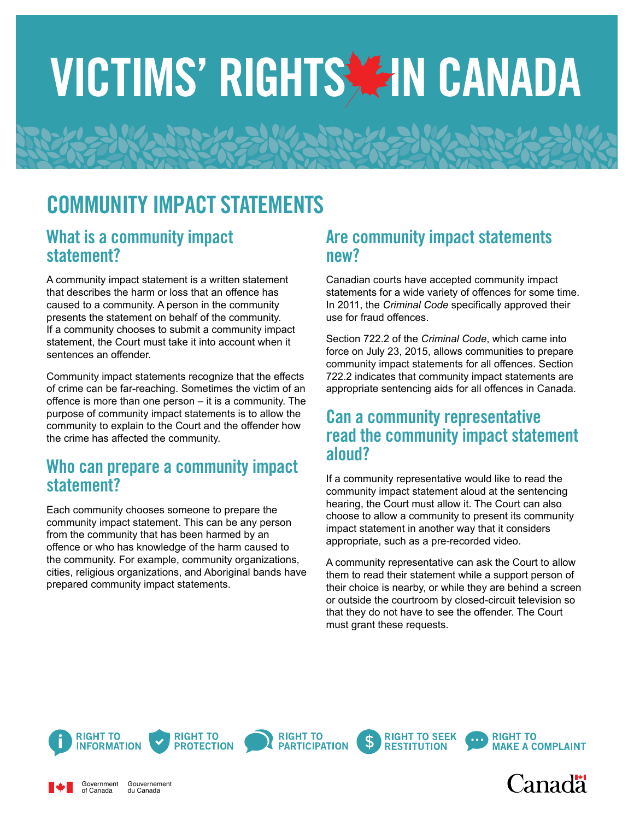# VICTIMS' RIGHTS AIN CANADA

# COMMUNITY IMPACT STATEMENTS

#### What is a community impact statement?

A community impact statement is a written statement that describes the harm or loss that an offence has caused to a community. A person in the community presents the statement on behalf of the community. If a community chooses to submit a community impact statement, the Court must take it into account when it sentences an offender

Community impact statements recognize that the effects of crime can be far-reaching. Sometimes the victim of an offence is more than one person – it is a community. The purpose of community impact statements is to allow the community to explain to the Court and the offender how the crime has affected the community.

## Who can prepare a community impact statement?

Each community chooses someone to prepare the community impact statement. This can be any person from the community that has been harmed by an offence or who has knowledge of the harm caused to the community. For example, community organizations, cities, religious organizations, and Aboriginal bands have prepared community impact statements.

#### Are community impact statements new?

Canadian courts have accepted community impact statements for a wide variety of offences for some time. In 2011, the *Criminal Code* specifically approved their use for fraud offences.

Section 722.2 of the *Criminal Code*, which came into force on July 23, 2015, allows communities to prepare community impact statements for all offences. Section 722.2 indicates that community impact statements are appropriate sentencing aids for all offences in Canada.

#### Can a community representative read the community impact statement aloud?

If a community representative would like to read the community impact statement aloud at the sentencing hearing, the Court must allow it. The Court can also choose to allow a community to present its community impact statement in another way that it considers appropriate, such as a pre-recorded video.

A community representative can ask the Court to allow them to read their statement while a support person of their choice is nearby, or while they are behind a screen or outside the courtroom by closed-circuit television so that they do not have to see the offender. The Court must grant these requests.



Government of Canada

Gouvernement du Canada